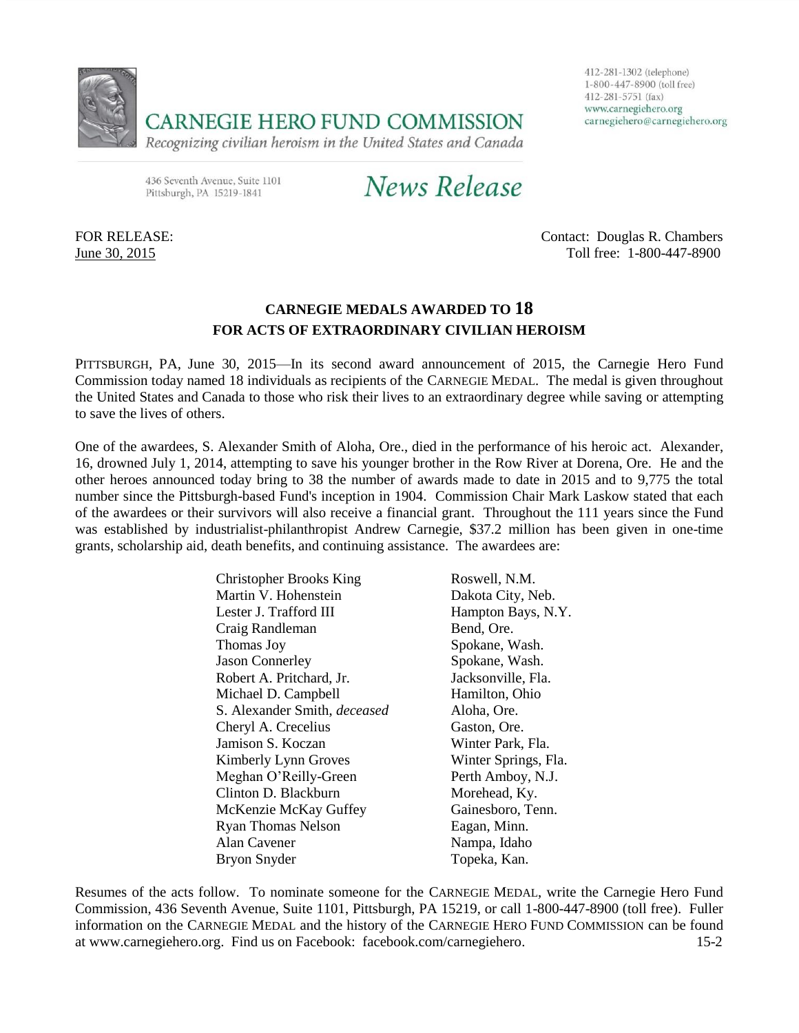

412-281-1302 (telephone) 1-800-447-8900 (toll free) 412-281-5751 (fax) www.carnegiehero.org carnegiehero@carnegiehero.org

436 Seventh Avenue, Suite 1101 Pittsburgh, PA 15219-1841

News Release

FOR RELEASE: Contact: Douglas R. Chambers June 30, 2015 Toll free: 1-800-447-8900

### **CARNEGIE MEDALS AWARDED TO 18 FOR ACTS OF EXTRAORDINARY CIVILIAN HEROISM**

PITTSBURGH, PA, June 30, 2015—In its second award announcement of 2015, the Carnegie Hero Fund Commission today named 18 individuals as recipients of the CARNEGIE MEDAL. The medal is given throughout the United States and Canada to those who risk their lives to an extraordinary degree while saving or attempting to save the lives of others.

One of the awardees, S. Alexander Smith of Aloha, Ore., died in the performance of his heroic act. Alexander, 16, drowned July 1, 2014, attempting to save his younger brother in the Row River at Dorena, Ore. He and the other heroes announced today bring to 38 the number of awards made to date in 2015 and to 9,775 the total number since the Pittsburgh-based Fund's inception in 1904. Commission Chair Mark Laskow stated that each of the awardees or their survivors will also receive a financial grant. Throughout the 111 years since the Fund was established by industrialist-philanthropist Andrew Carnegie, \$37.2 million has been given in one-time grants, scholarship aid, death benefits, and continuing assistance. The awardees are:

| <b>Christopher Brooks King</b>      | Roswell, N.M.        |
|-------------------------------------|----------------------|
| Martin V. Hohenstein                | Dakota City, Neb.    |
| Lester J. Trafford III              | Hampton Bays, N.Y.   |
| Craig Randleman                     | Bend, Ore.           |
| Thomas Joy                          | Spokane, Wash.       |
| <b>Jason Connerley</b>              | Spokane, Wash.       |
| Robert A. Pritchard, Jr.            | Jacksonville, Fla.   |
| Michael D. Campbell                 | Hamilton, Ohio       |
| S. Alexander Smith, <i>deceased</i> | Aloha, Ore.          |
| Cheryl A. Crecelius                 | Gaston, Ore.         |
| Jamison S. Koczan                   | Winter Park, Fla.    |
| Kimberly Lynn Groves                | Winter Springs, Fla. |
| Meghan O'Reilly-Green               | Perth Amboy, N.J.    |
| Clinton D. Blackburn                | Morehead, Ky.        |
| McKenzie McKay Guffey               | Gainesboro, Tenn.    |
| <b>Ryan Thomas Nelson</b>           | Eagan, Minn.         |
| Alan Cavener                        | Nampa, Idaho         |
| Bryon Snyder                        | Topeka, Kan.         |

Resumes of the acts follow. To nominate someone for the CARNEGIE MEDAL, write the Carnegie Hero Fund Commission, 436 Seventh Avenue, Suite 1101, Pittsburgh, PA 15219, or call 1-800-447-8900 (toll free). Fuller information on the CARNEGIE MEDAL and the history of the CARNEGIE HERO FUND COMMISSION can be found at [www.carnegiehero.org.](http://www.carnegiehero.org/) Find us on Facebook: facebook.com/carnegiehero. 15-2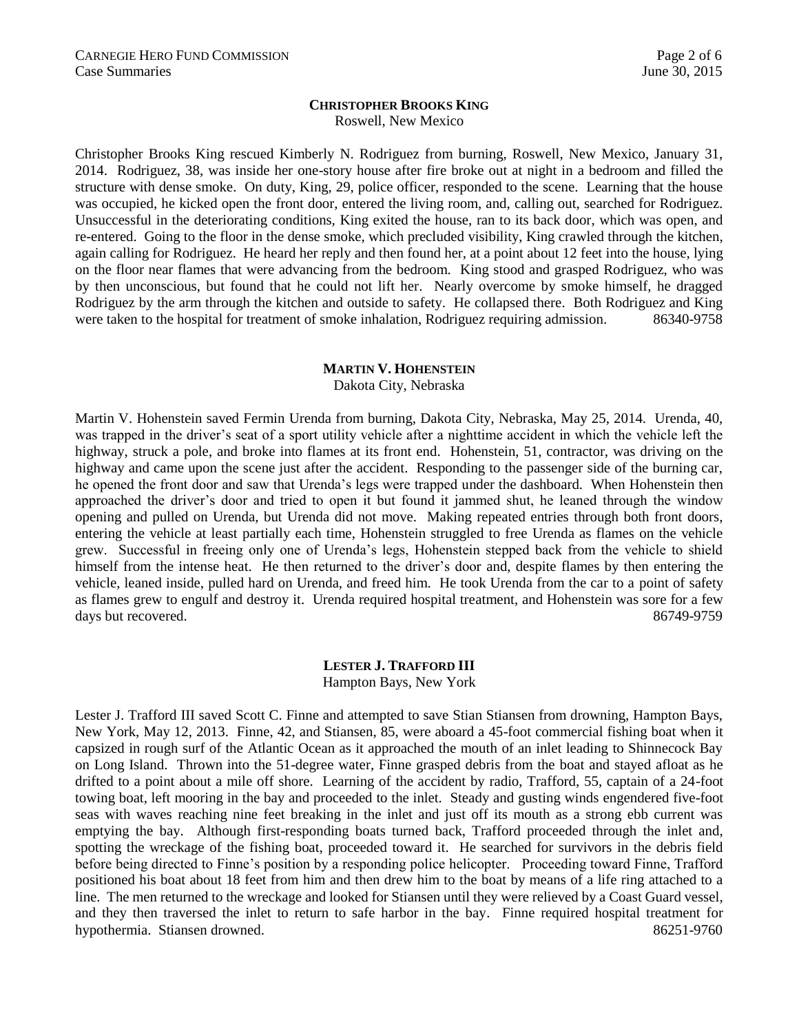#### **CHRISTOPHER BROOKS KING**

Roswell, New Mexico

Christopher Brooks King rescued Kimberly N. Rodriguez from burning, Roswell, New Mexico, January 31, 2014. Rodriguez, 38, was inside her one-story house after fire broke out at night in a bedroom and filled the structure with dense smoke. On duty, King, 29, police officer, responded to the scene. Learning that the house was occupied, he kicked open the front door, entered the living room, and, calling out, searched for Rodriguez. Unsuccessful in the deteriorating conditions, King exited the house, ran to its back door, which was open, and re-entered. Going to the floor in the dense smoke, which precluded visibility, King crawled through the kitchen, again calling for Rodriguez. He heard her reply and then found her, at a point about 12 feet into the house, lying on the floor near flames that were advancing from the bedroom. King stood and grasped Rodriguez, who was by then unconscious, but found that he could not lift her. Nearly overcome by smoke himself, he dragged Rodriguez by the arm through the kitchen and outside to safety. He collapsed there. Both Rodriguez and King were taken to the hospital for treatment of smoke inhalation, Rodriguez requiring admission. 86340-9758

#### **MARTIN V. HOHENSTEIN**

Dakota City, Nebraska

Martin V. Hohenstein saved Fermin Urenda from burning, Dakota City, Nebraska, May 25, 2014. Urenda, 40, was trapped in the driver's seat of a sport utility vehicle after a nighttime accident in which the vehicle left the highway, struck a pole, and broke into flames at its front end. Hohenstein, 51, contractor, was driving on the highway and came upon the scene just after the accident. Responding to the passenger side of the burning car, he opened the front door and saw that Urenda's legs were trapped under the dashboard. When Hohenstein then approached the driver's door and tried to open it but found it jammed shut, he leaned through the window opening and pulled on Urenda, but Urenda did not move. Making repeated entries through both front doors, entering the vehicle at least partially each time, Hohenstein struggled to free Urenda as flames on the vehicle grew. Successful in freeing only one of Urenda's legs, Hohenstein stepped back from the vehicle to shield himself from the intense heat. He then returned to the driver's door and, despite flames by then entering the vehicle, leaned inside, pulled hard on Urenda, and freed him. He took Urenda from the car to a point of safety as flames grew to engulf and destroy it. Urenda required hospital treatment, and Hohenstein was sore for a few days but recovered. 86749-9759

## **LESTER J. TRAFFORD III**

Hampton Bays, New York

Lester J. Trafford III saved Scott C. Finne and attempted to save Stian Stiansen from drowning, Hampton Bays, New York, May 12, 2013. Finne, 42, and Stiansen, 85, were aboard a 45-foot commercial fishing boat when it capsized in rough surf of the Atlantic Ocean as it approached the mouth of an inlet leading to Shinnecock Bay on Long Island. Thrown into the 51-degree water, Finne grasped debris from the boat and stayed afloat as he drifted to a point about a mile off shore. Learning of the accident by radio, Trafford, 55, captain of a 24-foot towing boat, left mooring in the bay and proceeded to the inlet. Steady and gusting winds engendered five-foot seas with waves reaching nine feet breaking in the inlet and just off its mouth as a strong ebb current was emptying the bay. Although first-responding boats turned back, Trafford proceeded through the inlet and, spotting the wreckage of the fishing boat, proceeded toward it. He searched for survivors in the debris field before being directed to Finne's position by a responding police helicopter. Proceeding toward Finne, Trafford positioned his boat about 18 feet from him and then drew him to the boat by means of a life ring attached to a line. The men returned to the wreckage and looked for Stiansen until they were relieved by a Coast Guard vessel, and they then traversed the inlet to return to safe harbor in the bay. Finne required hospital treatment for hypothermia. Stiansen drowned. 86251-9760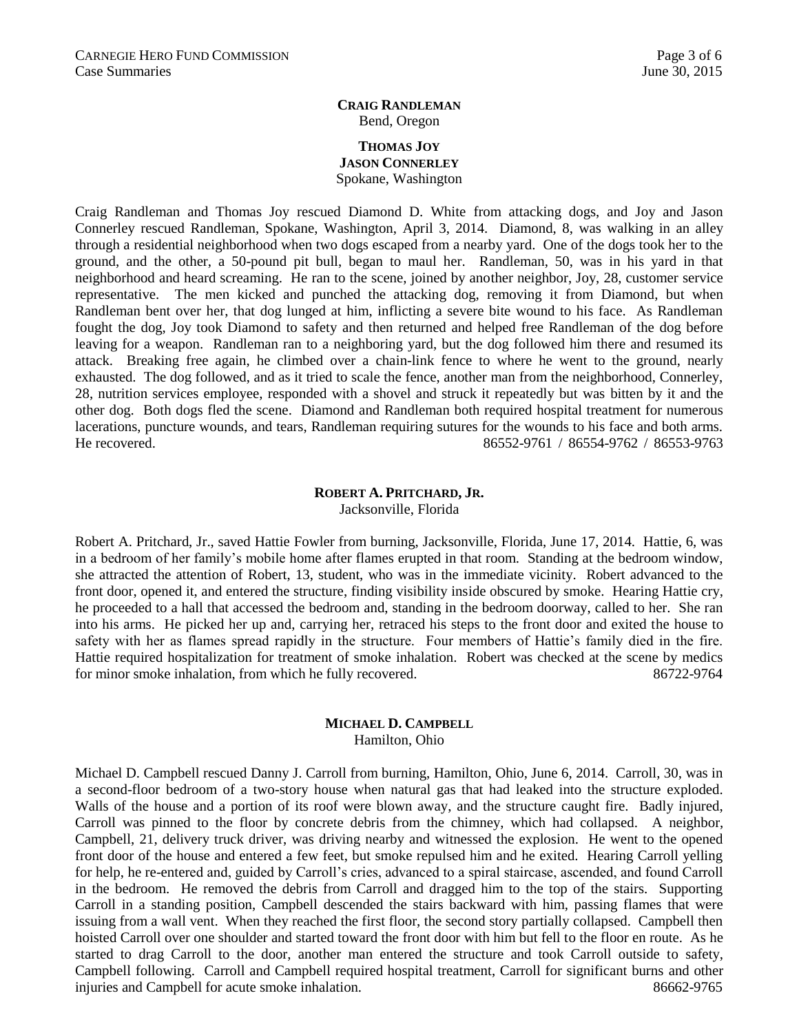#### **CRAIG RANDLEMAN** Bend, Oregon

#### **THOMAS JOY JASON CONNERLEY** Spokane, Washington

Craig Randleman and Thomas Joy rescued Diamond D. White from attacking dogs, and Joy and Jason Connerley rescued Randleman, Spokane, Washington, April 3, 2014. Diamond, 8, was walking in an alley through a residential neighborhood when two dogs escaped from a nearby yard. One of the dogs took her to the ground, and the other, a 50-pound pit bull, began to maul her. Randleman, 50, was in his yard in that neighborhood and heard screaming. He ran to the scene, joined by another neighbor, Joy, 28, customer service representative. The men kicked and punched the attacking dog, removing it from Diamond, but when Randleman bent over her, that dog lunged at him, inflicting a severe bite wound to his face. As Randleman fought the dog, Joy took Diamond to safety and then returned and helped free Randleman of the dog before leaving for a weapon. Randleman ran to a neighboring yard, but the dog followed him there and resumed its attack. Breaking free again, he climbed over a chain-link fence to where he went to the ground, nearly exhausted. The dog followed, and as it tried to scale the fence, another man from the neighborhood, Connerley, 28, nutrition services employee, responded with a shovel and struck it repeatedly but was bitten by it and the other dog. Both dogs fled the scene. Diamond and Randleman both required hospital treatment for numerous lacerations, puncture wounds, and tears, Randleman requiring sutures for the wounds to his face and both arms. He recovered. 86552-9761 / 86554-9762 / 86553-9763

## **ROBERT A. PRITCHARD, JR.**

Jacksonville, Florida

Robert A. Pritchard, Jr., saved Hattie Fowler from burning, Jacksonville, Florida, June 17, 2014. Hattie, 6, was in a bedroom of her family's mobile home after flames erupted in that room. Standing at the bedroom window, she attracted the attention of Robert, 13, student, who was in the immediate vicinity. Robert advanced to the front door, opened it, and entered the structure, finding visibility inside obscured by smoke. Hearing Hattie cry, he proceeded to a hall that accessed the bedroom and, standing in the bedroom doorway, called to her. She ran into his arms. He picked her up and, carrying her, retraced his steps to the front door and exited the house to safety with her as flames spread rapidly in the structure. Four members of Hattie's family died in the fire. Hattie required hospitalization for treatment of smoke inhalation. Robert was checked at the scene by medics for minor smoke inhalation, from which he fully recovered. 86722-9764

#### **MICHAEL D. CAMPBELL** Hamilton, Ohio

Michael D. Campbell rescued Danny J. Carroll from burning, Hamilton, Ohio, June 6, 2014. Carroll, 30, was in a second-floor bedroom of a two-story house when natural gas that had leaked into the structure exploded. Walls of the house and a portion of its roof were blown away, and the structure caught fire. Badly injured, Carroll was pinned to the floor by concrete debris from the chimney, which had collapsed. A neighbor, Campbell, 21, delivery truck driver, was driving nearby and witnessed the explosion. He went to the opened front door of the house and entered a few feet, but smoke repulsed him and he exited. Hearing Carroll yelling for help, he re-entered and, guided by Carroll's cries, advanced to a spiral staircase, ascended, and found Carroll in the bedroom. He removed the debris from Carroll and dragged him to the top of the stairs. Supporting Carroll in a standing position, Campbell descended the stairs backward with him, passing flames that were issuing from a wall vent. When they reached the first floor, the second story partially collapsed. Campbell then hoisted Carroll over one shoulder and started toward the front door with him but fell to the floor en route. As he started to drag Carroll to the door, another man entered the structure and took Carroll outside to safety, Campbell following. Carroll and Campbell required hospital treatment, Carroll for significant burns and other injuries and Campbell for acute smoke inhalation. 86662-9765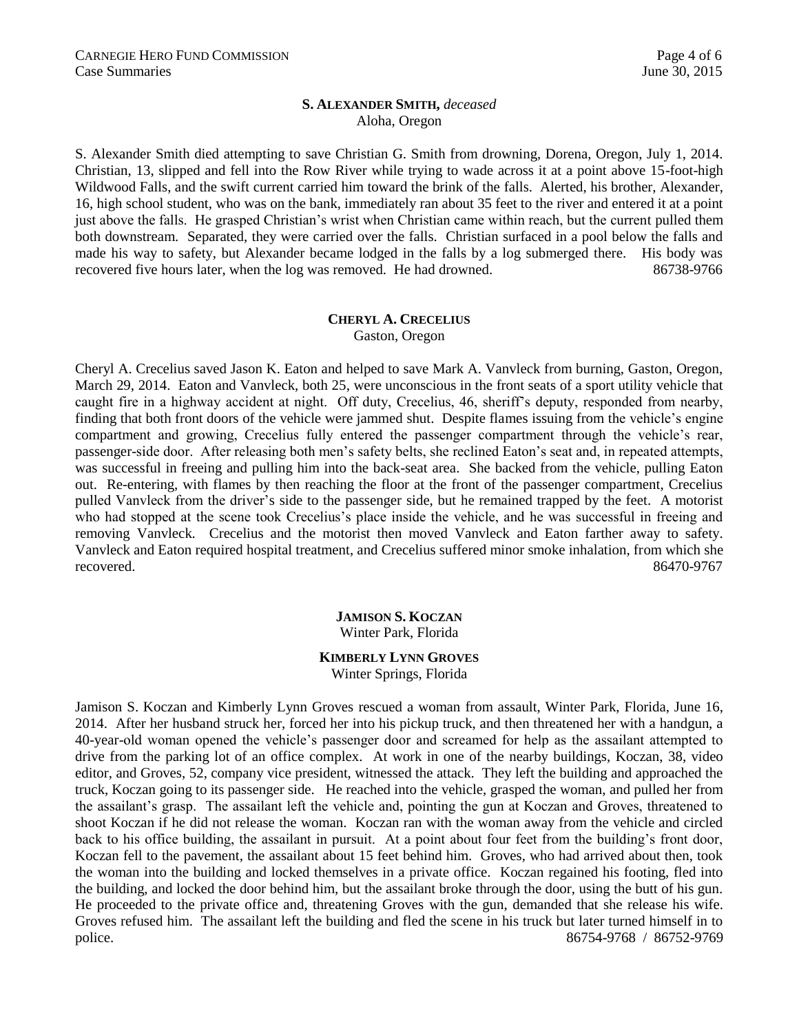#### **S. ALEXANDER SMITH,** *deceased* Aloha, Oregon

S. Alexander Smith died attempting to save Christian G. Smith from drowning, Dorena, Oregon, July 1, 2014. Christian, 13, slipped and fell into the Row River while trying to wade across it at a point above 15-foot-high Wildwood Falls, and the swift current carried him toward the brink of the falls. Alerted, his brother, Alexander, 16, high school student, who was on the bank, immediately ran about 35 feet to the river and entered it at a point just above the falls. He grasped Christian's wrist when Christian came within reach, but the current pulled them both downstream. Separated, they were carried over the falls. Christian surfaced in a pool below the falls and made his way to safety, but Alexander became lodged in the falls by a log submerged there. His body was recovered five hours later, when the log was removed. He had drowned. 86738-9766

#### **CHERYL A. CRECELIUS** Gaston, Oregon

Cheryl A. Crecelius saved Jason K. Eaton and helped to save Mark A. Vanvleck from burning, Gaston, Oregon, March 29, 2014. Eaton and Vanvleck, both 25, were unconscious in the front seats of a sport utility vehicle that caught fire in a highway accident at night. Off duty, Crecelius, 46, sheriff's deputy, responded from nearby, finding that both front doors of the vehicle were jammed shut. Despite flames issuing from the vehicle's engine compartment and growing, Crecelius fully entered the passenger compartment through the vehicle's rear, passenger-side door. After releasing both men's safety belts, she reclined Eaton's seat and, in repeated attempts, was successful in freeing and pulling him into the back-seat area. She backed from the vehicle, pulling Eaton out. Re-entering, with flames by then reaching the floor at the front of the passenger compartment, Crecelius pulled Vanvleck from the driver's side to the passenger side, but he remained trapped by the feet. A motorist who had stopped at the scene took Crecelius's place inside the vehicle, and he was successful in freeing and removing Vanvleck. Crecelius and the motorist then moved Vanvleck and Eaton farther away to safety. Vanvleck and Eaton required hospital treatment, and Crecelius suffered minor smoke inhalation, from which she recovered. 86470-9767

> **JAMISON S. KOCZAN** Winter Park, Florida

# **KIMBERLY LYNN GROVES**

Winter Springs, Florida

Jamison S. Koczan and Kimberly Lynn Groves rescued a woman from assault, Winter Park, Florida, June 16, 2014. After her husband struck her, forced her into his pickup truck, and then threatened her with a handgun, a 40-year-old woman opened the vehicle's passenger door and screamed for help as the assailant attempted to drive from the parking lot of an office complex. At work in one of the nearby buildings, Koczan, 38, video editor, and Groves, 52, company vice president, witnessed the attack. They left the building and approached the truck, Koczan going to its passenger side. He reached into the vehicle, grasped the woman, and pulled her from the assailant's grasp. The assailant left the vehicle and, pointing the gun at Koczan and Groves, threatened to shoot Koczan if he did not release the woman. Koczan ran with the woman away from the vehicle and circled back to his office building, the assailant in pursuit. At a point about four feet from the building's front door, Koczan fell to the pavement, the assailant about 15 feet behind him. Groves, who had arrived about then, took the woman into the building and locked themselves in a private office. Koczan regained his footing, fled into the building, and locked the door behind him, but the assailant broke through the door, using the butt of his gun. He proceeded to the private office and, threatening Groves with the gun, demanded that she release his wife. Groves refused him. The assailant left the building and fled the scene in his truck but later turned himself in to police. 86754-9768 / 86752-9769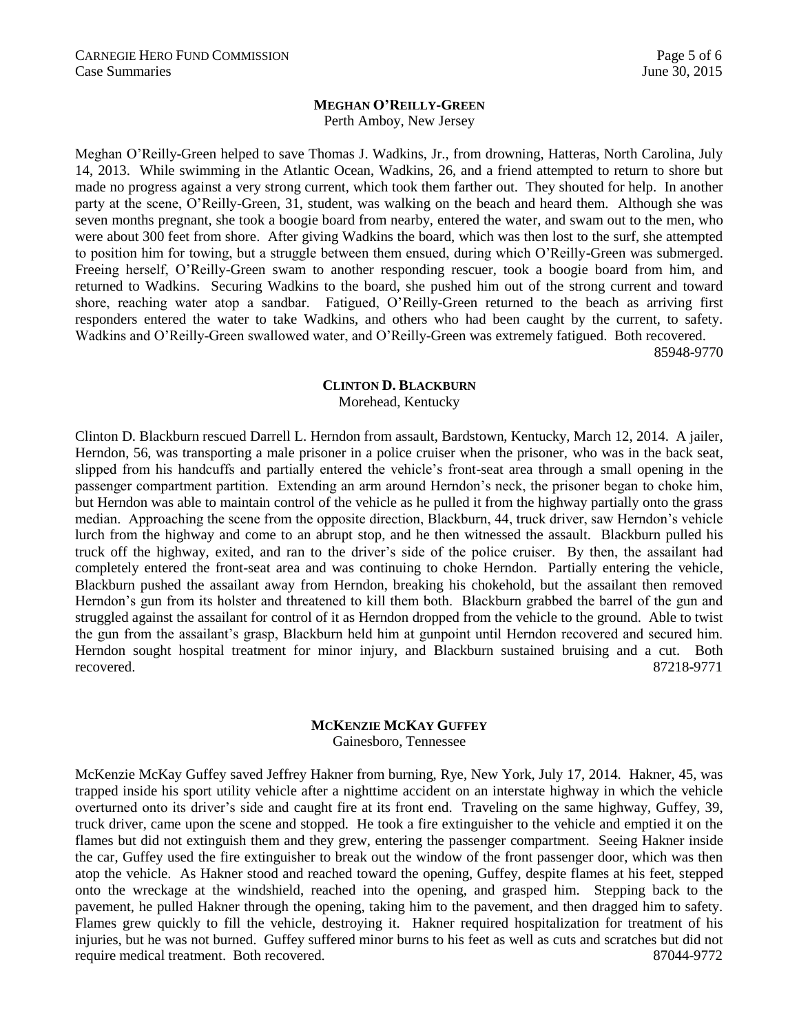#### **MEGHAN O'REILLY-GREEN**

Perth Amboy, New Jersey

Meghan O'Reilly-Green helped to save Thomas J. Wadkins, Jr., from drowning, Hatteras, North Carolina, July 14, 2013. While swimming in the Atlantic Ocean, Wadkins, 26, and a friend attempted to return to shore but made no progress against a very strong current, which took them farther out. They shouted for help. In another party at the scene, O'Reilly-Green, 31, student, was walking on the beach and heard them. Although she was seven months pregnant, she took a boogie board from nearby, entered the water, and swam out to the men, who were about 300 feet from shore. After giving Wadkins the board, which was then lost to the surf, she attempted to position him for towing, but a struggle between them ensued, during which O'Reilly-Green was submerged. Freeing herself, O'Reilly-Green swam to another responding rescuer, took a boogie board from him, and returned to Wadkins. Securing Wadkins to the board, she pushed him out of the strong current and toward shore, reaching water atop a sandbar. Fatigued, O'Reilly-Green returned to the beach as arriving first responders entered the water to take Wadkins, and others who had been caught by the current, to safety. Wadkins and O'Reilly-Green swallowed water, and O'Reilly-Green was extremely fatigued. Both recovered.

85948-9770

#### **CLINTON D. BLACKBURN**

Morehead, Kentucky

Clinton D. Blackburn rescued Darrell L. Herndon from assault, Bardstown, Kentucky, March 12, 2014. A jailer, Herndon, 56, was transporting a male prisoner in a police cruiser when the prisoner, who was in the back seat, slipped from his handcuffs and partially entered the vehicle's front-seat area through a small opening in the passenger compartment partition. Extending an arm around Herndon's neck, the prisoner began to choke him, but Herndon was able to maintain control of the vehicle as he pulled it from the highway partially onto the grass median. Approaching the scene from the opposite direction, Blackburn, 44, truck driver, saw Herndon's vehicle lurch from the highway and come to an abrupt stop, and he then witnessed the assault. Blackburn pulled his truck off the highway, exited, and ran to the driver's side of the police cruiser. By then, the assailant had completely entered the front-seat area and was continuing to choke Herndon. Partially entering the vehicle, Blackburn pushed the assailant away from Herndon, breaking his chokehold, but the assailant then removed Herndon's gun from its holster and threatened to kill them both. Blackburn grabbed the barrel of the gun and struggled against the assailant for control of it as Herndon dropped from the vehicle to the ground. Able to twist the gun from the assailant's grasp, Blackburn held him at gunpoint until Herndon recovered and secured him. Herndon sought hospital treatment for minor injury, and Blackburn sustained bruising and a cut. Both recovered. 87218-9771

#### **MCKENZIE MCKAY GUFFEY**

Gainesboro, Tennessee

McKenzie McKay Guffey saved Jeffrey Hakner from burning, Rye, New York, July 17, 2014. Hakner, 45, was trapped inside his sport utility vehicle after a nighttime accident on an interstate highway in which the vehicle overturned onto its driver's side and caught fire at its front end. Traveling on the same highway, Guffey, 39, truck driver, came upon the scene and stopped. He took a fire extinguisher to the vehicle and emptied it on the flames but did not extinguish them and they grew, entering the passenger compartment. Seeing Hakner inside the car, Guffey used the fire extinguisher to break out the window of the front passenger door, which was then atop the vehicle. As Hakner stood and reached toward the opening, Guffey, despite flames at his feet, stepped onto the wreckage at the windshield, reached into the opening, and grasped him. Stepping back to the pavement, he pulled Hakner through the opening, taking him to the pavement, and then dragged him to safety. Flames grew quickly to fill the vehicle, destroying it. Hakner required hospitalization for treatment of his injuries, but he was not burned. Guffey suffered minor burns to his feet as well as cuts and scratches but did not require medical treatment. Both recovered. 87044-9772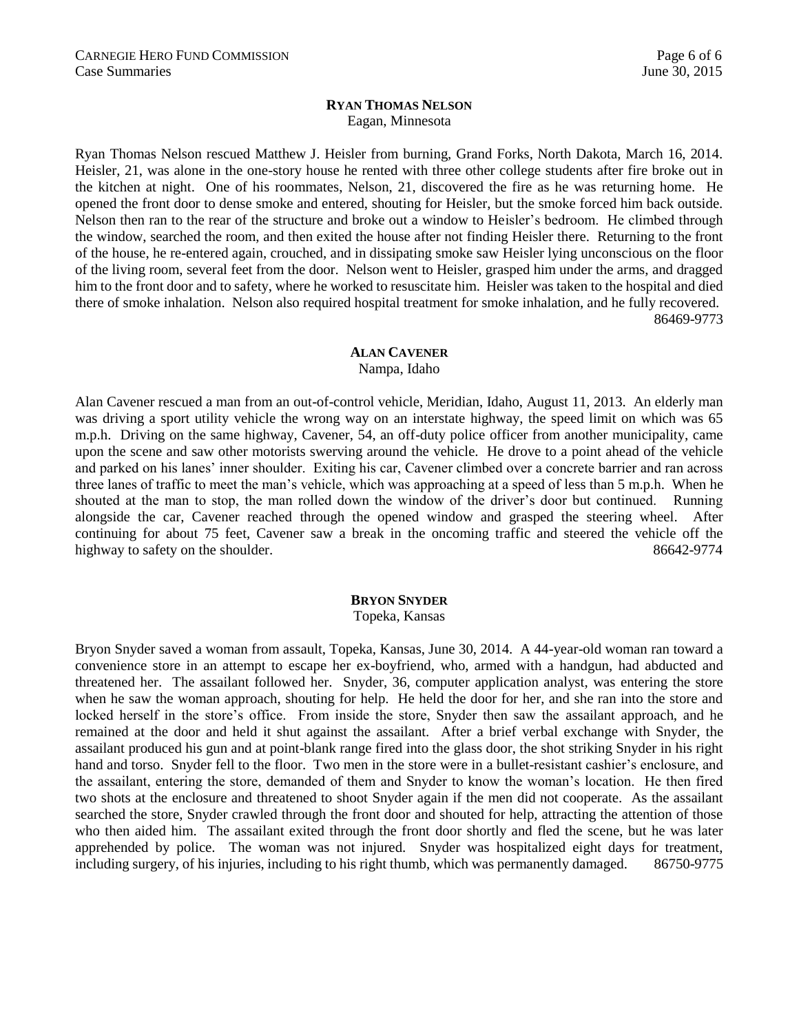#### **RYAN THOMAS NELSON** Eagan, Minnesota

Ryan Thomas Nelson rescued Matthew J. Heisler from burning, Grand Forks, North Dakota, March 16, 2014. Heisler, 21, was alone in the one-story house he rented with three other college students after fire broke out in the kitchen at night. One of his roommates, Nelson, 21, discovered the fire as he was returning home. He opened the front door to dense smoke and entered, shouting for Heisler, but the smoke forced him back outside. Nelson then ran to the rear of the structure and broke out a window to Heisler's bedroom. He climbed through the window, searched the room, and then exited the house after not finding Heisler there. Returning to the front of the house, he re-entered again, crouched, and in dissipating smoke saw Heisler lying unconscious on the floor of the living room, several feet from the door. Nelson went to Heisler, grasped him under the arms, and dragged him to the front door and to safety, where he worked to resuscitate him. Heisler was taken to the hospital and died there of smoke inhalation. Nelson also required hospital treatment for smoke inhalation, and he fully recovered. 86469-9773

#### **ALAN CAVENER**

Nampa, Idaho

Alan Cavener rescued a man from an out-of-control vehicle, Meridian, Idaho, August 11, 2013. An elderly man was driving a sport utility vehicle the wrong way on an interstate highway, the speed limit on which was 65 m.p.h. Driving on the same highway, Cavener, 54, an off-duty police officer from another municipality, came upon the scene and saw other motorists swerving around the vehicle. He drove to a point ahead of the vehicle and parked on his lanes' inner shoulder. Exiting his car, Cavener climbed over a concrete barrier and ran across three lanes of traffic to meet the man's vehicle, which was approaching at a speed of less than 5 m.p.h. When he shouted at the man to stop, the man rolled down the window of the driver's door but continued. Running alongside the car, Cavener reached through the opened window and grasped the steering wheel. After continuing for about 75 feet, Cavener saw a break in the oncoming traffic and steered the vehicle off the highway to safety on the shoulder.  $86642-9774$ 

#### **BRYON SNYDER**

Topeka, Kansas

Bryon Snyder saved a woman from assault, Topeka, Kansas, June 30, 2014. A 44-year-old woman ran toward a convenience store in an attempt to escape her ex-boyfriend, who, armed with a handgun, had abducted and threatened her. The assailant followed her. Snyder, 36, computer application analyst, was entering the store when he saw the woman approach, shouting for help. He held the door for her, and she ran into the store and locked herself in the store's office. From inside the store, Snyder then saw the assailant approach, and he remained at the door and held it shut against the assailant. After a brief verbal exchange with Snyder, the assailant produced his gun and at point-blank range fired into the glass door, the shot striking Snyder in his right hand and torso. Snyder fell to the floor. Two men in the store were in a bullet-resistant cashier's enclosure, and the assailant, entering the store, demanded of them and Snyder to know the woman's location. He then fired two shots at the enclosure and threatened to shoot Snyder again if the men did not cooperate. As the assailant searched the store, Snyder crawled through the front door and shouted for help, attracting the attention of those who then aided him. The assailant exited through the front door shortly and fled the scene, but he was later apprehended by police. The woman was not injured. Snyder was hospitalized eight days for treatment, including surgery, of his injuries, including to his right thumb, which was permanently damaged. 86750-9775